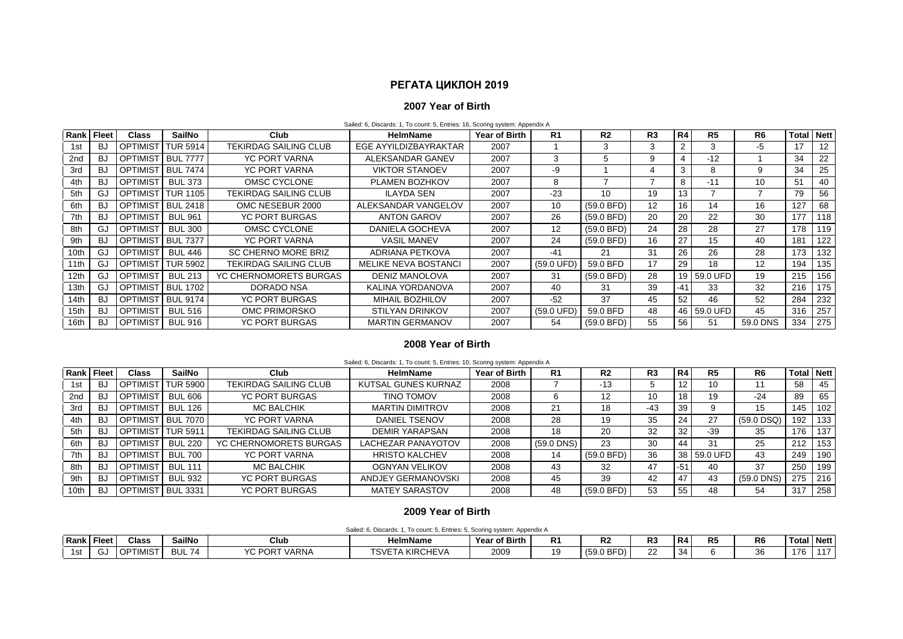# **РЕГАТА ЦИКЛОН 2019**

## **2007 Year of Birth**

Sailed: 6, Discards: 1, To count: 5, Entries: 16, Scoring system: Appendix A

| <b>Rank Fleet</b> |           | <b>Class</b>    | <b>SailNo</b>   | Club                         | <b>HelmName</b>             | Year of Birth | R <sub>1</sub>       | R <sub>2</sub> | R <sub>3</sub>    | R <sub>4</sub> | R <sub>5</sub> | R6              | <b>Total</b> | <b>Nett</b> |
|-------------------|-----------|-----------------|-----------------|------------------------------|-----------------------------|---------------|----------------------|----------------|-------------------|----------------|----------------|-----------------|--------------|-------------|
| 1st               | BJ        | <b>OPTIMIST</b> | <b>TUR 5914</b> | <b>TEKIRDAG SAILING CLUB</b> | EGE AYYILDIZBAYRAKTAR       | 2007          |                      | 3              | 3                 | 2              | 3              | -5              | 17           | 12          |
| 2 <sub>nd</sub>   | <b>BJ</b> | <b>OPTIMIST</b> | <b>BUL 7777</b> | YC PORT VARNA                | ALEKSANDAR GANEV            | 2007          | 3                    |                | 9                 | 4              | $-12$          |                 | 34           | 22          |
| 3rd               | <b>BJ</b> | optimist        | <b>BUL 7474</b> | YC PORT VARNA                | <b>VIKTOR STANOEV</b>       | 2007          | -9                   |                |                   | 3              | 8              | 9               | 34           | 25          |
| 4th               | BJ        | <b>OPTIMIST</b> | <b>BUL 373</b>  | OMSC CYCLONE                 | PLAMEN BOZHKOV              | 2007          | 8                    |                |                   | 8              | $-11$          | 10 <sup>°</sup> | 51           | 40          |
| 5th               | GJ        | <b>OPTIMIST</b> | <b>TUR 1105</b> | <b>TEKIRDAG SAILING CLUB</b> | <b>ILAYDA SEN</b>           | 2007          | $-23$                | 10             | 19                | 13             |                |                 | 79           | 56          |
| 6th               | BJ        | <b>OPTIMIST</b> | <b>BUL 2418</b> | OMC NESEBUR 2000             | ALEKSANDAR VANGELOV         | 2007          | 10                   | $(59.0$ BFD)   | $12 \overline{ }$ | 16             | 14             | 16              | 127          | 68          |
| 7th               | <b>BJ</b> | <b>OPTIMIST</b> | <b>BUL 961</b>  | <b>YC PORT BURGAS</b>        | <b>ANTON GAROV</b>          | 2007          | 26                   | $(59.0$ BFD)   | 20                | 20             | 22             | 30              | 177          | 118         |
| 8th               | GJ        | <b>OPTIMIST</b> | BUL 300         | OMSC CYCLONE                 | DANIELA GOCHEVA             | 2007          | 12                   | $(59.0$ BFD)   | 24                | 28             | 28             | 27              | 178          | 119         |
| 9th               | <b>BJ</b> | <b>OPTIMIST</b> | <b>BUL 7377</b> | YC PORT VARNA                | <b>VASIL MANEV</b>          | 2007          | 24                   | $(59.0$ BFD)   | 16                | 27             | 15             | 40              | 181          | 122         |
| 10th              | GJ        | <b>OPTIMIST</b> | BUL 446         | <b>SC CHERNO MORE BRIZ</b>   | ADRIANA PETKOVA             | 2007          | $-41$                | 21             | 31                | 26             | 26             | 28              | 173          | 132         |
| 11th              | GJ        | <b>OPTIMIST</b> | <b>TUR 5902</b> | <b>TEKIRDAG SAILING CLUB</b> | <b>MELIKE NEVA BOSTANCI</b> | 2007          | $(59.0 \text{ UFD})$ | 59.0 BFD       | 17                | 29             | 18             | 12              | 194          | 135         |
| 12th              | GJ        | <b>OPTIMIST</b> | <b>BUL 213</b>  | YC CHERNOMORETS BURGAS       | DENIZ MANOLOVA              | 2007          | 31                   | $(59.0$ BFD)   | 28                |                | 19 59.0 UFD    | 19              | 215          | 156         |
| 13th              | GJ        | <b>OPTIMIST</b> | <b>BUL 1702</b> | DORADO NSA                   | KALINA YORDANOVA            | 2007          | 40                   | 31             | 39                | -41            | 33             | 32              | 216          | 175         |
| 14th              | <b>BJ</b> | <b>OPTIMIST</b> | <b>BUL 9174</b> | <b>YC PORT BURGAS</b>        | MIHAIL BOZHILOV             | 2007          | $-52$                | 37             | 45                | 52             | 46             | 52              | 284          | 232         |
| 15th              | <b>BJ</b> | <b>OPTIMIST</b> | <b>BUL 516</b>  | OMC PRIMORSKO                | <b>STILYAN DRINKOV</b>      | 2007          | (59.0 UFD)           | 59.0 BFD       | 48                |                | 46 59.0 UFD    | 45              | 316          | 257         |
| 16th              | <b>BJ</b> | <b>OPTIMIST</b> | <b>BUL 916</b>  | YC PORT BURGAS               | <b>MARTIN GERMANOV</b>      | 2007          | 54                   | (59.0 BFD)     | 55                | 56             | 51             | 59.0 DNS        | 334          | 275         |

## **2008 Year of Birth**

|                 | Sailed: 6, Discards: 1, To count: 5, Entries: 10, Scoring system: Appendix A |                   |                   |                              |                        |               |            |                |                 |       |                |                |                   |     |  |
|-----------------|------------------------------------------------------------------------------|-------------------|-------------------|------------------------------|------------------------|---------------|------------|----------------|-----------------|-------|----------------|----------------|-------------------|-----|--|
| Rank Fleet      |                                                                              | <b>Class</b>      | <b>SailNo</b>     | Club                         | <b>HelmName</b>        | Year of Birth | R1         | R <sub>2</sub> | R <sub>3</sub>  | R4    | R <sub>5</sub> | R <sub>6</sub> | <b>Total Nett</b> |     |  |
| 1st             | BJ                                                                           | <b>OPTIMIST</b>   | TUR 5900          | <b>TEKIRDAG SAILING CLUB</b> | KUTSAL GUNES KURNAZ    | 2008          |            | $-13$          |                 |       | 10             | 11             | 58                | 45  |  |
| 2 <sub>nd</sub> | BJ                                                                           | <b>OPTIMIST</b>   | <b>BUL 606</b>    | <b>YC PORT BURGAS</b>        | <b>TINO TOMOV</b>      | 2008          | 6          | 12             | 10 <sup>1</sup> | 18    | 19             | $-24$          | 89                | 65  |  |
| 3rd             | BJ                                                                           | <b>OPTIMIST</b>   | <b>BUL 126</b>    | <b>MC BALCHIK</b>            | <b>MARTIN DIMITROV</b> | 2008          | 21         | 18             | $-43$           | 39    |                | 15             | 145               | 102 |  |
| 4th             | BJ                                                                           |                   | OPTIMIST BUL 7070 | <b>YC PORT VARNA</b>         | DANIEL TSENOV          | 2008          | 28         | 19             | 35              | 24    | 27             | $(59.0$ DSQ)   | 192               | 133 |  |
| 5th             | -BJ                                                                          |                   | OPTIMIST TUR 5911 | <b>TEKIRDAG SAILING CLUB</b> | <b>DEMIR YARAPSAN</b>  | 2008          | 18         | 20             | 32              | 32    | $-39$          | 35             | 176               | 137 |  |
| 6th             | BJ                                                                           | <b>OPTIMIST</b>   | <b>BUL 220</b>    | YC CHERNOMORETS BURGAS       | LACHEZAR PANAYOTOV     | 2008          | (59.0 DNS) | 23             | 30              | 44    | 31             | 25             | 212               | 153 |  |
| 7th             | BJ                                                                           | <b>OPTIMIST</b>   | <b>BUL 700</b>    | <b>YC PORT VARNA</b>         | <b>HRISTO KALCHEV</b>  | 2008          | 14         | $(59.0$ BFD)   | 36              |       | 38 59.0 UFD    | 43             | 249               | 190 |  |
| 8th             | <b>BJ</b>                                                                    | <b>OPTIMIST</b>   | <b>BUL 111</b>    | MC BALCHIK                   | <b>OGNYAN VELIKOV</b>  | 2008          | 43         | 32             | 47              | $-54$ | 40             | 37             | 250               | 199 |  |
| 9th             | BJ                                                                           | <b>OPTIMIST</b>   | <b>BUL 932</b>    | <b>YC PORT BURGAS</b>        | ANDJEY GERMANOVSKI     | 2008          | 45         | 39             | 42              | 47    | 43             | (59.0 DNS)     | 275               | 216 |  |
| 10th            | BJ                                                                           | OPTIMIST BUL 3331 |                   | <b>YC PORT BURGAS</b>        | <b>MATEY SARASTOV</b>  | 2008          | 48         | $(59.0$ BFD)   | 53              | 55    | 48             | 54             | 317               | 258 |  |

### **2009 Year of Birth**

Sailed: 6, Discards: 1, To count: 5, Entries: 5, Scoring system: Appendix A

|                   | based, of properties, if you begins of English by pooring of promine population. |                 |                         |                                |                                                         |                      |                |                                         |           |    |                |                |      |               |  |
|-------------------|----------------------------------------------------------------------------------|-----------------|-------------------------|--------------------------------|---------------------------------------------------------|----------------------|----------------|-----------------------------------------|-----------|----|----------------|----------------|------|---------------|--|
| <b>Rank Fleet</b> |                                                                                  | <b>Class</b>    | SailNo                  | Jiub                           | <b>HelmName</b>                                         | <b>Year of Birth</b> | R <sub>1</sub> | D.<br>к.                                | n o<br>гv | R4 | R <sub>5</sub> | R <sub>6</sub> | Tota | <b>Nett</b>   |  |
| 1st               | -                                                                                | "MIST<br>$\sim$ | $\overline{A}$<br>DUL 1 | VO DODT.<br>`VARNA<br>'∪ĸ<br>ັ | TSVE<br><b>AKIRC!</b><br>4F V 1<br>ᄔᄭ<br>/ L I <i>F</i> | 2009                 | 1 ດ<br>.       | $\sim$ $\sim$<br>، 50<br>◡<br>1 J J J J | $\sim$    | 34 |                | วค<br>ັບ       | 176  | $\rightarrow$ |  |